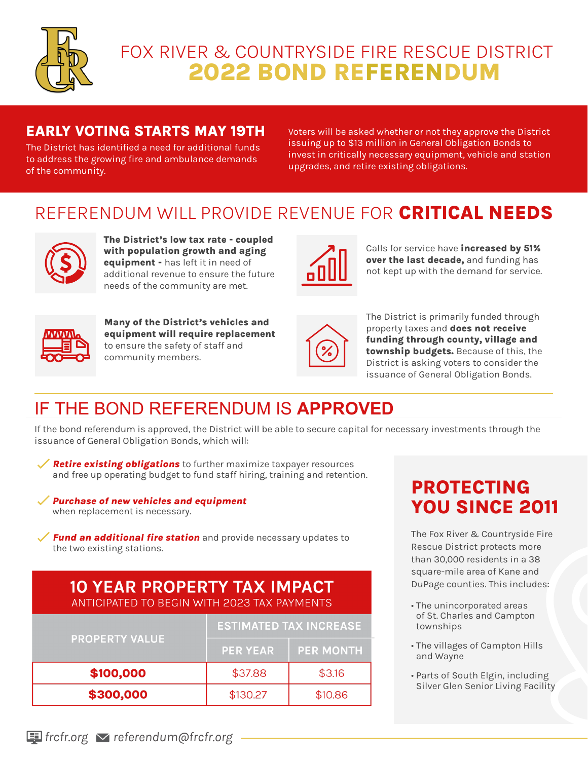

# 2022 BOND REFERENDUM FOX RIVER & COUNTRYSIDE FIRE RESCUE DISTRICT

#### EARLY VOTING STARTS MAY 19TH

The District has identified a need for additional funds to address the growing fire and ambulance demands of the community.

Voters will be asked whether or not they approve the District issuing up to \$13 million in General Obligation Bonds to invest in critically necessary equipment, vehicle and station upgrades, and retire existing obligations.

### REFERENDUM WILL PROVIDE REVENUE FOR CRITICAL NEEDS



The District's low tax rate - coupled with population growth and aging equipment - has left it in need of additional revenue to ensure the future needs of the community are met.



Calls for service have increased by 51% over the last decade, and funding has not kept up with the demand for service.



Many of the District's vehicles and equipment will require replacement to ensure the safety of staff and community members.



The District is primarily funded through property taxes and **does not receive** funding through county, village and township budgets. Because of this, the District is asking voters to consider the issuance of General Obligation Bonds.

# IF THE BOND REFERENDUM IS **APPROVED**

If the bond referendum is approved, the District will be able to secure capital for necessary investments through the issuance of General Obligation Bonds, which will:

Retire existing obligations to further maximize taxpayer resources and free up operating budget to fund staff hiring, training and retention.

Purchase of new vehicles and equipment when replacement is necessary.

 $\checkmark$  Fund an additional fire station and provide necessary updates to the two existing stations.

#### **10 YEAR PROPERTY TAX IMPACT** ANTICIPATED TO BEGIN WITH 2023 TAX PAYMENTS

| <b>PROPERTY VALUE</b> | <b>ESTIMATED TAX INCREASE</b> |                  |
|-----------------------|-------------------------------|------------------|
|                       | <b>PER YEAR</b>               | <b>PER MONTH</b> |
| \$100,000             | \$37.88                       | \$3.16           |
| \$300,000             | \$130.27                      | \$10.86          |

## PROTECTING YOU SINCE 2011

The Fox River & Countryside Fire Rescue District protects more than 30,000 residents in a 38 square-mile area of Kane and DuPage counties. This includes:

- The unincorporated areas of St. Charles and Campton townships
- The villages of Campton Hills and Wayne
- Parts of South Elgin, including Silver Glen Senior Living Facility